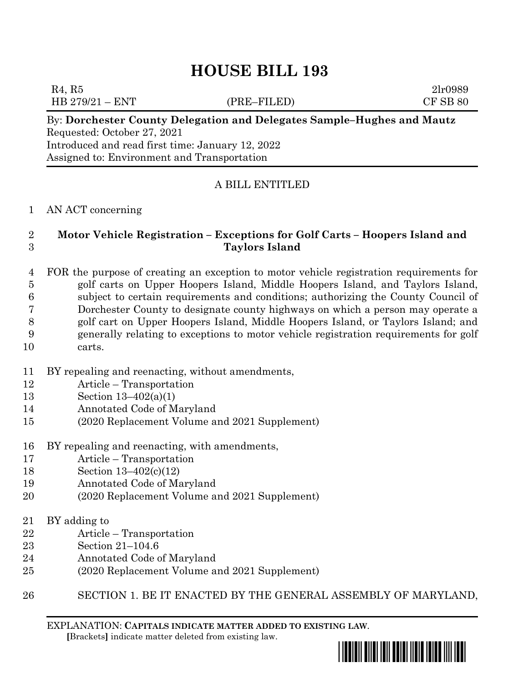# **HOUSE BILL 193**

 $R_4, R_5$  2lr0989 HB 279/21 – ENT (PRE–FILED) CF SB 80

By: **Dorchester County Delegation and Delegates Sample–Hughes and Mautz** Requested: October 27, 2021 Introduced and read first time: January 12, 2022 Assigned to: Environment and Transportation

## A BILL ENTITLED

#### AN ACT concerning

## **Motor Vehicle Registration – Exceptions for Golf Carts – Hoopers Island and Taylors Island**

 FOR the purpose of creating an exception to motor vehicle registration requirements for golf carts on Upper Hoopers Island, Middle Hoopers Island, and Taylors Island, subject to certain requirements and conditions; authorizing the County Council of Dorchester County to designate county highways on which a person may operate a golf cart on Upper Hoopers Island, Middle Hoopers Island, or Taylors Island; and generally relating to exceptions to motor vehicle registration requirements for golf carts.

- BY repealing and reenacting, without amendments,
- Article Transportation
- Section 13–402(a)(1)
- Annotated Code of Maryland
- (2020 Replacement Volume and 2021 Supplement)
- BY repealing and reenacting, with amendments,
- Article Transportation
- Section 13–402(c)(12)
- Annotated Code of Maryland
- (2020 Replacement Volume and 2021 Supplement)
- BY adding to
- Article Transportation
- Section 21–104.6
- Annotated Code of Maryland
- (2020 Replacement Volume and 2021 Supplement)
- SECTION 1. BE IT ENACTED BY THE GENERAL ASSEMBLY OF MARYLAND,

EXPLANATION: **CAPITALS INDICATE MATTER ADDED TO EXISTING LAW**.  **[**Brackets**]** indicate matter deleted from existing law.

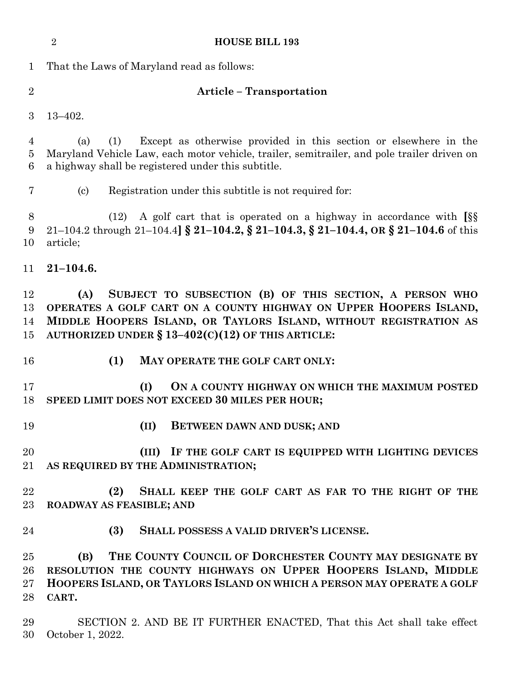|                          | $\overline{2}$<br><b>HOUSE BILL 193</b>                                                                                                                                                                                                                          |
|--------------------------|------------------------------------------------------------------------------------------------------------------------------------------------------------------------------------------------------------------------------------------------------------------|
| $\mathbf 1$              | That the Laws of Maryland read as follows:                                                                                                                                                                                                                       |
| $\overline{2}$           | <b>Article - Transportation</b>                                                                                                                                                                                                                                  |
| 3                        | $13 - 402.$                                                                                                                                                                                                                                                      |
| 4<br>5<br>6              | Except as otherwise provided in this section or elsewhere in the<br>(a)<br>(1)<br>Maryland Vehicle Law, each motor vehicle, trailer, semitrailer, and pole trailer driven on<br>a highway shall be registered under this subtitle.                               |
| 7                        | Registration under this subtitle is not required for:<br>$\left( \mathrm{c}\right)$                                                                                                                                                                              |
| 8<br>9<br>10             | A golf cart that is operated on a highway in accordance with SS<br>(12)<br>21-104.2 through 21-104.4 $\S$ 21-104.2, $\S$ 21-104.3, $\S$ 21-104.4, OR $\S$ 21-104.6 of this<br>article;                                                                           |
| 11                       | $21 - 104.6.$                                                                                                                                                                                                                                                    |
| 12<br>13<br>14<br>15     | SUBJECT TO SUBSECTION (B) OF THIS SECTION, A PERSON WHO<br>(A)<br>OPERATES A GOLF CART ON A COUNTY HIGHWAY ON UPPER HOOPERS ISLAND,<br>MIDDLE HOOPERS ISLAND, OR TAYLORS ISLAND, WITHOUT REGISTRATION AS<br>AUTHORIZED UNDER $\S 13-402(C)(12)$ OF THIS ARTICLE: |
| 16                       | (1)<br>MAY OPERATE THE GOLF CART ONLY:                                                                                                                                                                                                                           |
| 17<br>18                 | (I)<br>ON A COUNTY HIGHWAY ON WHICH THE MAXIMUM POSTED<br>SPEED LIMIT DOES NOT EXCEED 30 MILES PER HOUR;                                                                                                                                                         |
| 19                       | (II)<br>BETWEEN DAWN AND DUSK; AND                                                                                                                                                                                                                               |
| 20<br>21                 | (III) IF THE GOLF CART IS EQUIPPED WITH LIGHTING DEVICES<br>AS REQUIRED BY THE ADMINISTRATION;                                                                                                                                                                   |
| 22<br>23                 | (2)<br>SHALL KEEP THE GOLF CART AS FAR TO THE RIGHT OF THE<br><b>ROADWAY AS FEASIBLE; AND</b>                                                                                                                                                                    |
| 24                       | SHALL POSSESS A VALID DRIVER'S LICENSE.<br>(3)                                                                                                                                                                                                                   |
| 25<br>26<br>$27\,$<br>28 | THE COUNTY COUNCIL OF DORCHESTER COUNTY MAY DESIGNATE BY<br>(B)<br>RESOLUTION THE COUNTY HIGHWAYS ON UPPER HOOPERS ISLAND, MIDDLE<br>HOOPERS ISLAND, OR TAYLORS ISLAND ON WHICH A PERSON MAY OPERATE A GOLF<br>CART.                                             |
| 29<br>30                 | SECTION 2. AND BE IT FURTHER ENACTED, That this Act shall take effect<br>October 1, 2022.                                                                                                                                                                        |